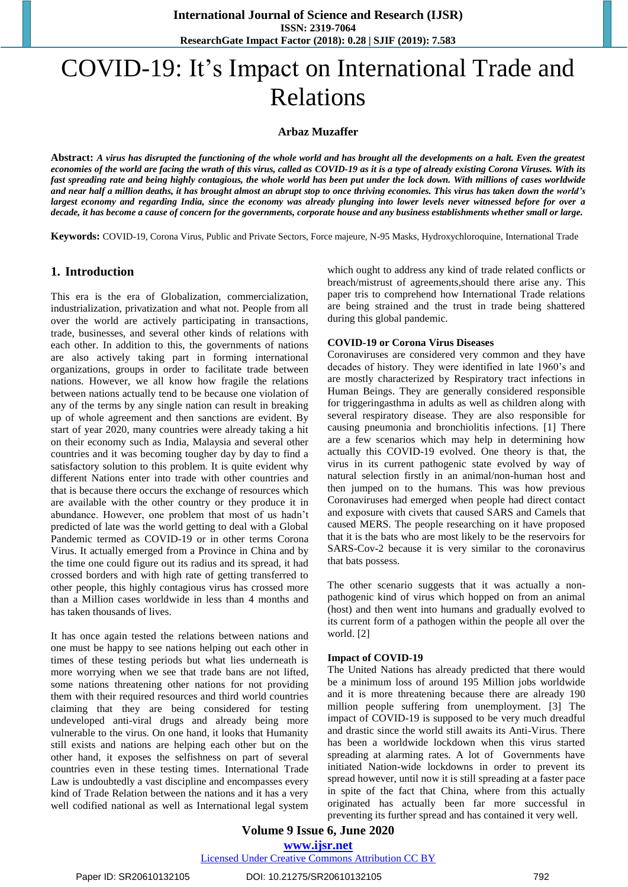# COVID-19: It's Impact on International Trade and Relations

## **Arbaz Muzaffer**

**Abstract:** *A virus has disrupted the functioning of the whole world and has brought all the developments on a halt. Even the greatest economies of the world are facing the wrath of this virus, called as COVID-19 as it is a type of already existing Corona Viruses. With its fast spreading rate and being highly contagious, the whole world has been put under the lock down. With millions of cases worldwide and near half a million deaths, it has brought almost an abrupt stop to once thriving economies. This virus has taken down the world's largest economy and regarding India, since the economy was already plunging into lower levels never witnessed before for over a decade, it has become a cause of concern for the governments, corporate house and any business establishments whether small or large.*

**Keywords:** COVID-19, Corona Virus, Public and Private Sectors, Force majeure, N-95 Masks, Hydroxychloroquine, International Trade

### **1. Introduction**

This era is the era of Globalization, commercialization, industrialization, privatization and what not. People from all over the world are actively participating in transactions, trade, businesses, and several other kinds of relations with each other. In addition to this, the governments of nations are also actively taking part in forming international organizations, groups in order to facilitate trade between nations. However, we all know how fragile the relations between nations actually tend to be because one violation of any of the terms by any single nation can result in breaking up of whole agreement and then sanctions are evident. By start of year 2020, many countries were already taking a hit on their economy such as India, Malaysia and several other countries and it was becoming tougher day by day to find a satisfactory solution to this problem. It is quite evident why different Nations enter into trade with other countries and that is because there occurs the exchange of resources which are available with the other country or they produce it in abundance. However, one problem that most of us hadn't predicted of late was the world getting to deal with a Global Pandemic termed as COVID-19 or in other terms Corona Virus. It actually emerged from a Province in China and by the time one could figure out its radius and its spread, it had crossed borders and with high rate of getting transferred to other people, this highly contagious virus has crossed more than a Million cases worldwide in less than 4 months and has taken thousands of lives.

It has once again tested the relations between nations and one must be happy to see nations helping out each other in times of these testing periods but what lies underneath is more worrying when we see that trade bans are not lifted, some nations threatening other nations for not providing them with their required resources and third world countries claiming that they are being considered for testing undeveloped anti-viral drugs and already being more vulnerable to the virus. On one hand, it looks that Humanity still exists and nations are helping each other but on the other hand, it exposes the selfishness on part of several countries even in these testing times. International Trade Law is undoubtedly a vast discipline and encompasses every kind of Trade Relation between the nations and it has a very well codified national as well as International legal system which ought to address any kind of trade related conflicts or breach/mistrust of agreements,should there arise any. This paper tris to comprehend how International Trade relations are being strained and the trust in trade being shattered during this global pandemic.

#### **COVID-19 or Corona Virus Diseases**

Coronaviruses are considered very common and they have decades of history. They were identified in late 1960's and are mostly characterized by Respiratory tract infections in Human Beings. They are generally considered responsible for triggeringasthma in adults as well as children along with several respiratory disease. They are also responsible for causing pneumonia and bronchiolitis infections. [1] There are a few scenarios which may help in determining how actually this COVID-19 evolved. One theory is that, the virus in its current pathogenic state evolved by way of natural selection firstly in an animal/non-human host and then jumped on to the humans. This was how previous Coronaviruses had emerged when people had direct contact and exposure with civets that caused SARS and Camels that caused MERS. The people researching on it have proposed that it is the bats who are most likely to be the reservoirs for SARS-Cov-2 because it is very similar to the coronavirus that bats possess.

The other scenario suggests that it was actually a nonpathogenic kind of virus which hopped on from an animal (host) and then went into humans and gradually evolved to its current form of a pathogen within the people all over the world. [2]

#### **Impact of COVID-19**

The United Nations has already predicted that there would be a minimum loss of around 195 Million jobs worldwide and it is more threatening because there are already 190 million people suffering from unemployment. [3] The impact of COVID-19 is supposed to be very much dreadful and drastic since the world still awaits its Anti-Virus. There has been a worldwide lockdown when this virus started spreading at alarming rates. A lot of Governments have initiated Nation-wide lockdowns in order to prevent its spread however, until now it is still spreading at a faster pace in spite of the fact that China, where from this actually originated has actually been far more successful in preventing its further spread and has contained it very well.

**Volume 9 Issue 6, June 2020 www.ijsr.net**

Licensed Under Creative Commons Attribution CC BY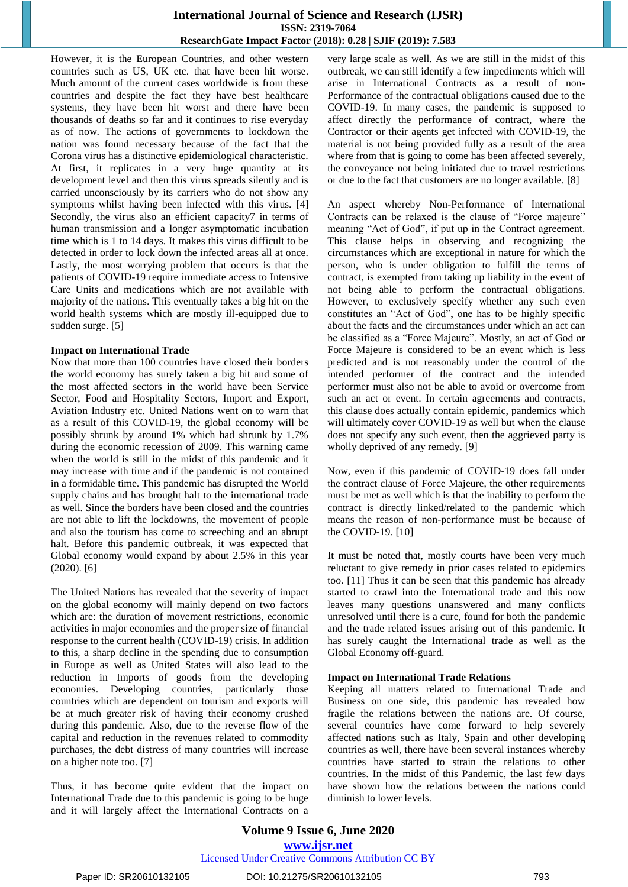## **International Journal of Science and Research (IJSR) ISSN: 2319-7064 ResearchGate Impact Factor (2018): 0.28 | SJIF (2019): 7.583**

However, it is the European Countries, and other western countries such as US, UK etc. that have been hit worse. Much amount of the current cases worldwide is from these countries and despite the fact they have best healthcare systems, they have been hit worst and there have been thousands of deaths so far and it continues to rise everyday as of now. The actions of governments to lockdown the nation was found necessary because of the fact that the Corona virus has a distinctive epidemiological characteristic. At first, it replicates in a very huge quantity at its development level and then this virus spreads silently and is carried unconsciously by its carriers who do not show any symptoms whilst having been infected with this virus. [4] Secondly, the virus also an efficient capacity7 in terms of human transmission and a longer asymptomatic incubation time which is 1 to 14 days. It makes this virus difficult to be detected in order to lock down the infected areas all at once. Lastly, the most worrying problem that occurs is that the patients of COVID-19 require immediate access to Intensive Care Units and medications which are not available with majority of the nations. This eventually takes a big hit on the world health systems which are mostly ill-equipped due to sudden surge. [5]

#### **Impact on International Trade**

Now that more than 100 countries have closed their borders the world economy has surely taken a big hit and some of the most affected sectors in the world have been Service Sector, Food and Hospitality Sectors, Import and Export, Aviation Industry etc. United Nations went on to warn that as a result of this COVID-19, the global economy will be possibly shrunk by around 1% which had shrunk by 1.7% during the economic recession of 2009. This warning came when the world is still in the midst of this pandemic and it may increase with time and if the pandemic is not contained in a formidable time. This pandemic has disrupted the World supply chains and has brought halt to the international trade as well. Since the borders have been closed and the countries are not able to lift the lockdowns, the movement of people and also the tourism has come to screeching and an abrupt halt. Before this pandemic outbreak, it was expected that Global economy would expand by about 2.5% in this year (2020). [6]

The United Nations has revealed that the severity of impact on the global economy will mainly depend on two factors which are: the duration of movement restrictions, economic activities in major economies and the proper size of financial response to the current health (COVID-19) crisis. In addition to this, a sharp decline in the spending due to consumption in Europe as well as United States will also lead to the reduction in Imports of goods from the developing economies. Developing countries, particularly those countries which are dependent on tourism and exports will be at much greater risk of having their economy crushed during this pandemic. Also, due to the reverse flow of the capital and reduction in the revenues related to commodity purchases, the debt distress of many countries will increase on a higher note too. [7]

Thus, it has become quite evident that the impact on International Trade due to this pandemic is going to be huge and it will largely affect the International Contracts on a

very large scale as well. As we are still in the midst of this outbreak, we can still identify a few impediments which will arise in International Contracts as a result of non-Performance of the contractual obligations caused due to the COVID-19. In many cases, the pandemic is supposed to affect directly the performance of contract, where the Contractor or their agents get infected with COVID-19, the material is not being provided fully as a result of the area where from that is going to come has been affected severely, the conveyance not being initiated due to travel restrictions or due to the fact that customers are no longer available. [8]

An aspect whereby Non-Performance of International Contracts can be relaxed is the clause of "Force majeure" meaning "Act of God", if put up in the Contract agreement. This clause helps in observing and recognizing the circumstances which are exceptional in nature for which the person, who is under obligation to fulfill the terms of contract, is exempted from taking up liability in the event of not being able to perform the contractual obligations. However, to exclusively specify whether any such even constitutes an "Act of God", one has to be highly specific about the facts and the circumstances under which an act can be classified as a "Force Majeure". Mostly, an act of God or Force Majeure is considered to be an event which is less predicted and is not reasonably under the control of the intended performer of the contract and the intended performer must also not be able to avoid or overcome from such an act or event. In certain agreements and contracts, this clause does actually contain epidemic, pandemics which will ultimately cover COVID-19 as well but when the clause does not specify any such event, then the aggrieved party is wholly deprived of any remedy. [9]

Now, even if this pandemic of COVID-19 does fall under the contract clause of Force Majeure, the other requirements must be met as well which is that the inability to perform the contract is directly linked/related to the pandemic which means the reason of non-performance must be because of the COVID-19. [10]

It must be noted that, mostly courts have been very much reluctant to give remedy in prior cases related to epidemics too. [11] Thus it can be seen that this pandemic has already started to crawl into the International trade and this now leaves many questions unanswered and many conflicts unresolved until there is a cure, found for both the pandemic and the trade related issues arising out of this pandemic. It has surely caught the International trade as well as the Global Economy off-guard.

#### **Impact on International Trade Relations**

Keeping all matters related to International Trade and Business on one side, this pandemic has revealed how fragile the relations between the nations are. Of course, several countries have come forward to help severely affected nations such as Italy, Spain and other developing countries as well, there have been several instances whereby countries have started to strain the relations to other countries. In the midst of this Pandemic, the last few days have shown how the relations between the nations could diminish to lower levels.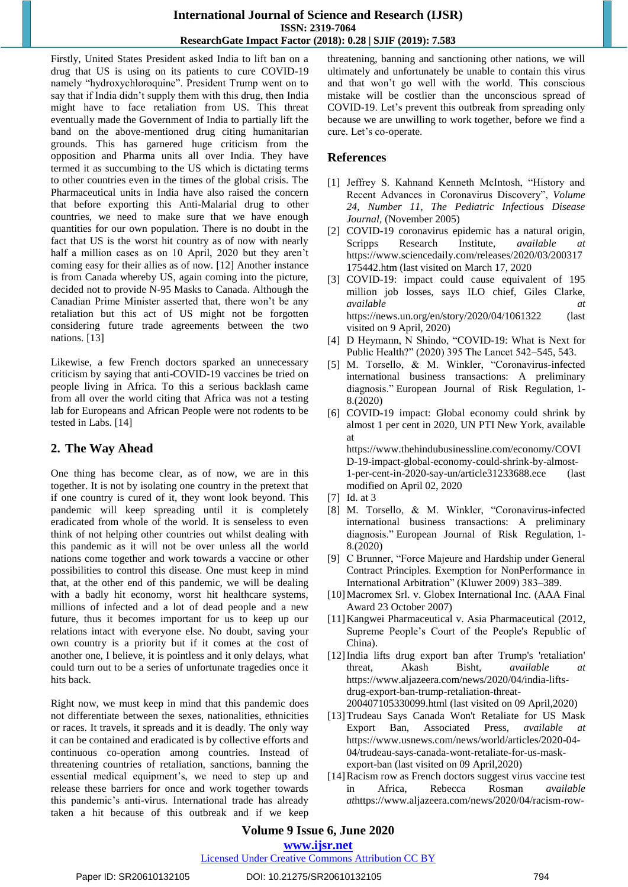## **International Journal of Science and Research (IJSR) ISSN: 2319-7064 ResearchGate Impact Factor (2018): 0.28 | SJIF (2019): 7.583**

Firstly, United States President asked India to lift ban on a drug that US is using on its patients to cure COVID-19 namely "hydroxychloroquine". President Trump went on to say that if India didn't supply them with this drug, then India might have to face retaliation from US. This threat eventually made the Government of India to partially lift the band on the above-mentioned drug citing humanitarian grounds. This has garnered huge criticism from the opposition and Pharma units all over India. They have termed it as succumbing to the US which is dictating terms to other countries even in the times of the global crisis. The Pharmaceutical units in India have also raised the concern that before exporting this Anti-Malarial drug to other countries, we need to make sure that we have enough quantities for our own population. There is no doubt in the fact that US is the worst hit country as of now with nearly half a million cases as on 10 April, 2020 but they aren't coming easy for their allies as of now. [12] Another instance is from Canada whereby US, again coming into the picture, decided not to provide N-95 Masks to Canada. Although the Canadian Prime Minister asserted that, there won't be any retaliation but this act of US might not be forgotten considering future trade agreements between the two nations. [13]

Likewise, a few French doctors sparked an unnecessary criticism by saying that anti-COVID-19 vaccines be tried on people living in Africa. To this a serious backlash came from all over the world citing that Africa was not a testing lab for Europeans and African People were not rodents to be tested in Labs. [14]

## **2. The Way Ahead**

One thing has become clear, as of now, we are in this together. It is not by isolating one country in the pretext that if one country is cured of it, they wont look beyond. This pandemic will keep spreading until it is completely eradicated from whole of the world. It is senseless to even think of not helping other countries out whilst dealing with this pandemic as it will not be over unless all the world nations come together and work towards a vaccine or other possibilities to control this disease. One must keep in mind that, at the other end of this pandemic, we will be dealing with a badly hit economy, worst hit healthcare systems, millions of infected and a lot of dead people and a new future, thus it becomes important for us to keep up our relations intact with everyone else. No doubt, saving your own country is a priority but if it comes at the cost of another one, I believe, it is pointless and it only delays, what could turn out to be a series of unfortunate tragedies once it hits back.

Right now, we must keep in mind that this pandemic does not differentiate between the sexes, nationalities, ethnicities or races. It travels, it spreads and it is deadly. The only way it can be contained and eradicated is by collective efforts and continuous co-operation among countries. Instead of threatening countries of retaliation, sanctions, banning the essential medical equipment's, we need to step up and release these barriers for once and work together towards this pandemic's anti-virus. International trade has already taken a hit because of this outbreak and if we keep threatening, banning and sanctioning other nations, we will ultimately and unfortunately be unable to contain this virus and that won't go well with the world. This conscious mistake will be costlier than the unconscious spread of COVID-19. Let's prevent this outbreak from spreading only because we are unwilling to work together, before we find a cure. Let's co-operate.

## **References**

- [1] Jeffrey S. Kahnand Kenneth McIntosh, "History and Recent Advances in Coronavirus Discovery", *Volume 24, Number 11, The Pediatric Infectious Disease Journal,* (November 2005)
- [2] COVID-19 coronavirus epidemic has a natural origin, Scripps Research Institute, *available at* https://www.sciencedaily.com/releases/2020/03/200317 175442.htm (last visited on March 17, 2020
- [3] COVID-19: impact could cause equivalent of 195 million job losses, says ILO chief, Giles Clarke, *available at*  https://news.un.org/en/story/2020/04/1061322 (last visited on 9 April, 2020)
- [4] D Heymann, N Shindo, "COVID-19: What is Next for Public Health?" (2020) 395 The Lancet 542–545, 543.
- [5] M. Torsello, & M. Winkler, "Coronavirus-infected international business transactions: A preliminary diagnosis." European Journal of Risk Regulation, 1- 8.(2020)
- [6] COVID-19 impact: Global economy could shrink by almost 1 per cent in 2020, UN PTI New York, available at

https://www.thehindubusinessline.com/economy/COVI D-19-impact-global-economy-could-shrink-by-almost-1-per-cent-in-2020-say-un/article31233688.ece (last modified on April 02, 2020

- [7] Id. at 3
- [8] M. Torsello, & M. Winkler, "Coronavirus-infected international business transactions: A preliminary diagnosis." European Journal of Risk Regulation, 1- 8.(2020)
- [9] C Brunner, "Force Majeure and Hardship under General Contract Principles. Exemption for NonPerformance in International Arbitration" (Kluwer 2009) 383–389.
- [10]Macromex Srl. v. Globex International Inc. (AAA Final Award 23 October 2007)
- [11]Kangwei Pharmaceutical v. Asia Pharmaceutical (2012, Supreme People's Court of the People's Republic of China).
- [12]India lifts drug export ban after Trump's 'retaliation' threat, Akash Bisht, *available at*  https://www.aljazeera.com/news/2020/04/india-liftsdrug-export-ban-trump-retaliation-threat-200407105330099.html (last visited on 09 April,2020)
- [13]Trudeau Says Canada Won't Retaliate for US Mask Export Ban, Associated Press, *available at*  https://www.usnews.com/news/world/articles/2020-04- 04/trudeau-says-canada-wont-retaliate-for-us-maskexport-ban (last visited on 09 April,2020)
- [14]Racism row as French doctors suggest virus vaccine test in Africa, Rebecca Rosman *available at*https://www.aljazeera.com/news/2020/04/racism-row-

# **Volume 9 Issue 6, June 2020**

**www.ijsr.net**

Licensed Under Creative Commons Attribution CC BY